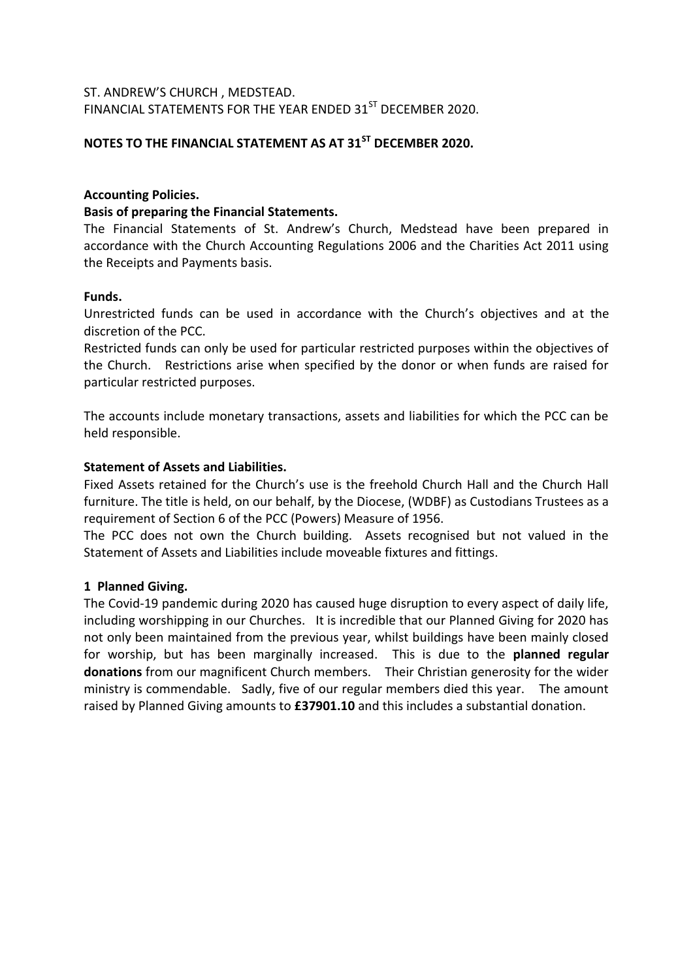# ST. ANDREW'S CHURCH , MEDSTEAD. FINANCIAL STATEMENTS FOR THE YEAR ENDED 31<sup>ST</sup> DECEMBER 2020.

# **NOTES TO THE FINANCIAL STATEMENT AS AT 31ST DECEMBER 2020.**

# **Accounting Policies.**

#### **Basis of preparing the Financial Statements.**

The Financial Statements of St. Andrew's Church, Medstead have been prepared in accordance with the Church Accounting Regulations 2006 and the Charities Act 2011 using the Receipts and Payments basis.

#### **Funds.**

Unrestricted funds can be used in accordance with the Church's objectives and at the discretion of the PCC.

Restricted funds can only be used for particular restricted purposes within the objectives of the Church. Restrictions arise when specified by the donor or when funds are raised for particular restricted purposes.

The accounts include monetary transactions, assets and liabilities for which the PCC can be held responsible.

### **Statement of Assets and Liabilities.**

Fixed Assets retained for the Church's use is the freehold Church Hall and the Church Hall furniture. The title is held, on our behalf, by the Diocese, (WDBF) as Custodians Trustees as a requirement of Section 6 of the PCC (Powers) Measure of 1956.

The PCC does not own the Church building. Assets recognised but not valued in the Statement of Assets and Liabilities include moveable fixtures and fittings.

# **1 Planned Giving.**

The Covid-19 pandemic during 2020 has caused huge disruption to every aspect of daily life, including worshipping in our Churches. It is incredible that our Planned Giving for 2020 has not only been maintained from the previous year, whilst buildings have been mainly closed for worship, but has been marginally increased. This is due to the **planned regular donations** from our magnificent Church members. Their Christian generosity for the wider ministry is commendable. Sadly, five of our regular members died this year. The amount raised by Planned Giving amounts to **£37901.10** and this includes a substantial donation.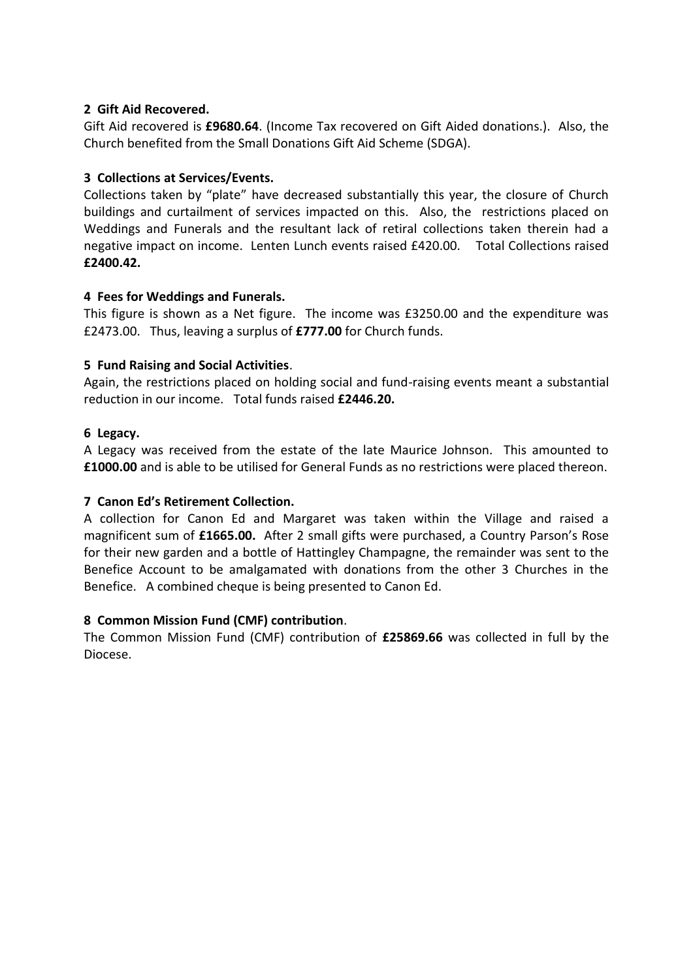# **2 Gift Aid Recovered.**

Gift Aid recovered is **£9680.64**. (Income Tax recovered on Gift Aided donations.). Also, the Church benefited from the Small Donations Gift Aid Scheme (SDGA).

# **3 Collections at Services/Events.**

Collections taken by "plate" have decreased substantially this year, the closure of Church buildings and curtailment of services impacted on this. Also, the restrictions placed on Weddings and Funerals and the resultant lack of retiral collections taken therein had a negative impact on income. Lenten Lunch events raised £420.00. Total Collections raised **£2400.42.**

### **4 Fees for Weddings and Funerals.**

This figure is shown as a Net figure. The income was £3250.00 and the expenditure was £2473.00. Thus, leaving a surplus of **£777.00** for Church funds.

### **5 Fund Raising and Social Activities**.

Again, the restrictions placed on holding social and fund-raising events meant a substantial reduction in our income. Total funds raised **£2446.20.**

### **6 Legacy.**

A Legacy was received from the estate of the late Maurice Johnson. This amounted to **£1000.00** and is able to be utilised for General Funds as no restrictions were placed thereon.

# **7 Canon Ed's Retirement Collection.**

A collection for Canon Ed and Margaret was taken within the Village and raised a magnificent sum of **£1665.00.** After 2 small gifts were purchased, a Country Parson's Rose for their new garden and a bottle of Hattingley Champagne, the remainder was sent to the Benefice Account to be amalgamated with donations from the other 3 Churches in the Benefice. A combined cheque is being presented to Canon Ed.

#### **8 Common Mission Fund (CMF) contribution**.

The Common Mission Fund (CMF) contribution of **£25869.66** was collected in full by the Diocese.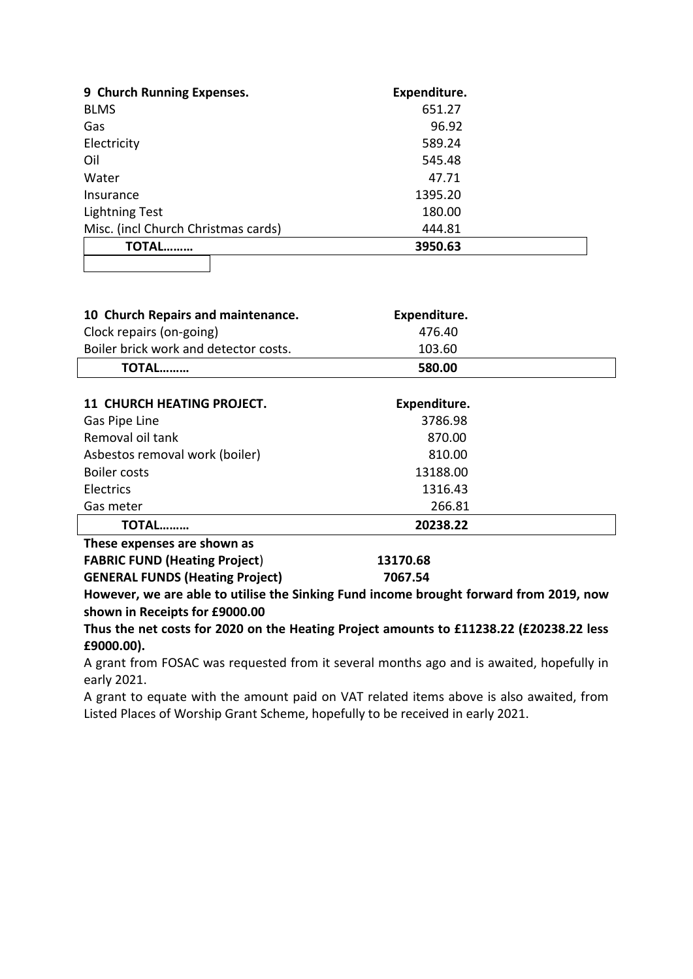| 9 Church Running Expenses.          | Expenditure. |  |
|-------------------------------------|--------------|--|
| <b>BLMS</b>                         | 651.27       |  |
| Gas                                 | 96.92        |  |
| Electricity                         | 589.24       |  |
| Oil                                 | 545.48       |  |
| Water                               | 47.71        |  |
| Insurance                           | 1395.20      |  |
| <b>Lightning Test</b>               | 180.00       |  |
| Misc. (incl Church Christmas cards) | 444.81       |  |
| TOTAL                               | 3950.63      |  |
|                                     |              |  |

| 10 Church Repairs and maintenance.    | Expenditure. |  |
|---------------------------------------|--------------|--|
| Clock repairs (on-going)              | 476.40       |  |
| Boiler brick work and detector costs. | 103.60       |  |
| TOTAL………                              | 580.00       |  |

| <b>11 CHURCH HEATING PROJECT.</b> | Expenditure. |  |
|-----------------------------------|--------------|--|
| Gas Pipe Line                     | 3786.98      |  |
| Removal oil tank                  | 870.00       |  |
| Asbestos removal work (boiler)    | 810.00       |  |
| Boiler costs                      | 13188.00     |  |
| Electrics                         | 1316.43      |  |
| Gas meter                         | 266.81       |  |
| TOTAL                             | 20238.22     |  |
| Those ovnances are shown as       |              |  |

| These expenses are snown as            |          |
|----------------------------------------|----------|
| <b>FABRIC FUND (Heating Project)</b>   | 13170.68 |
| <b>GENERAL FUNDS (Heating Project)</b> | 7067.54  |

**However, we are able to utilise the Sinking Fund income brought forward from 2019, now shown in Receipts for £9000.00**

**Thus the net costs for 2020 on the Heating Project amounts to £11238.22 (£20238.22 less £9000.00).**

A grant from FOSAC was requested from it several months ago and is awaited, hopefully in early 2021.

A grant to equate with the amount paid on VAT related items above is also awaited, from Listed Places of Worship Grant Scheme, hopefully to be received in early 2021.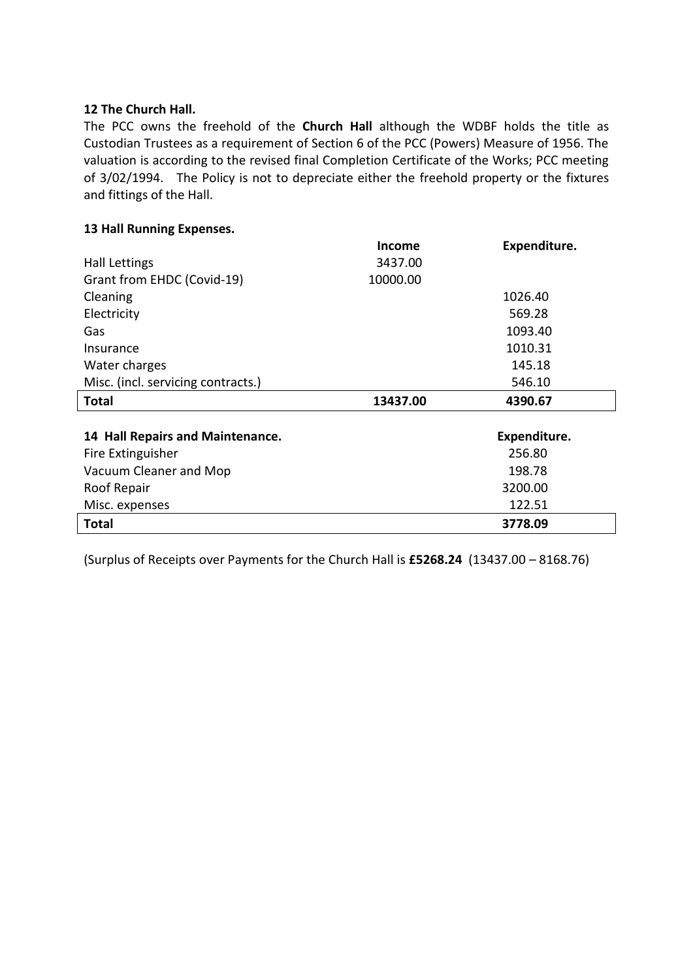#### **12 The Church Hall.**

The PCC owns the freehold of the **Church Hall** although the WDBF holds the title as Custodian Trustees as a requirement of Section 6 of the PCC (Powers) Measure of 1956. The valuation is according to the revised final Completion Certificate of the Works; PCC meeting of 3/02/1994. The Policy is not to depreciate either the freehold property or the fixtures and fittings of the Hall.

#### **13 Hall Running Expenses.**

|                                    | <b>Income</b> | Expenditure. |
|------------------------------------|---------------|--------------|
| Hall Lettings                      | 3437.00       |              |
| Grant from EHDC (Covid-19)         | 10000.00      |              |
| Cleaning                           |               | 1026.40      |
| Electricity                        |               | 569.28       |
| Gas                                |               | 1093.40      |
| Insurance                          |               | 1010.31      |
| Water charges                      |               | 145.18       |
| Misc. (incl. servicing contracts.) |               | 546.10       |
|                                    |               |              |
| <b>Total</b>                       | 13437.00      | 4390.67      |
|                                    |               |              |
| 14 Hall Repairs and Maintenance.   |               | Expenditure. |
| Fire Extinguisher                  |               | 256.80       |
| Vacuum Cleaner and Mop             |               | 198.78       |
| Roof Repair                        |               | 3200.00      |
| Misc. expenses                     |               | 122.51       |

(Surplus of Receipts over Payments for the Church Hall is **£5268.24** (13437.00 – 8168.76)